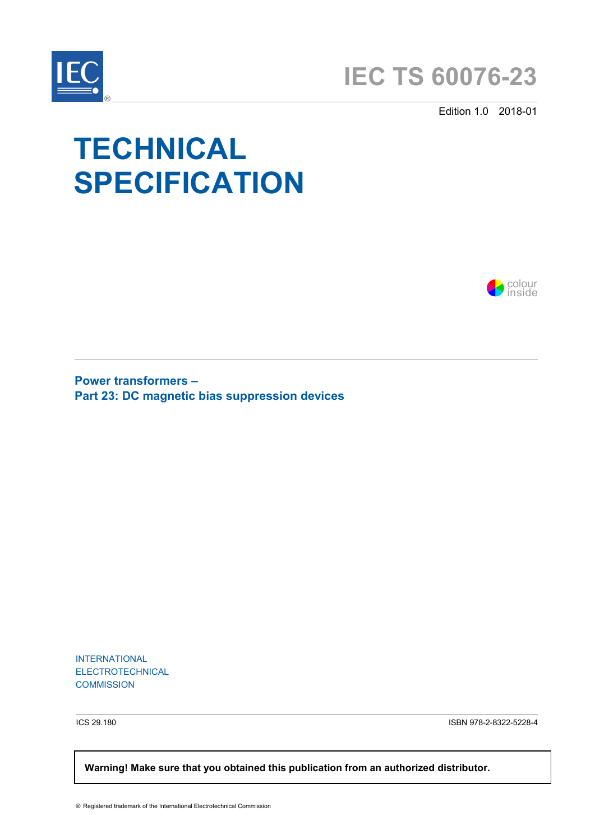



Edition 1.0 2018-01

# **TECHNICAL SPECIFICATION**



**Power transformers – Part 23: DC magnetic bias suppression devices**

INTERNATIONAL ELECTROTECHNICAL **COMMISSION** 

ICS 29.180 ISBN 978-2-8322-5228-4

 **Warning! Make sure that you obtained this publication from an authorized distributor.**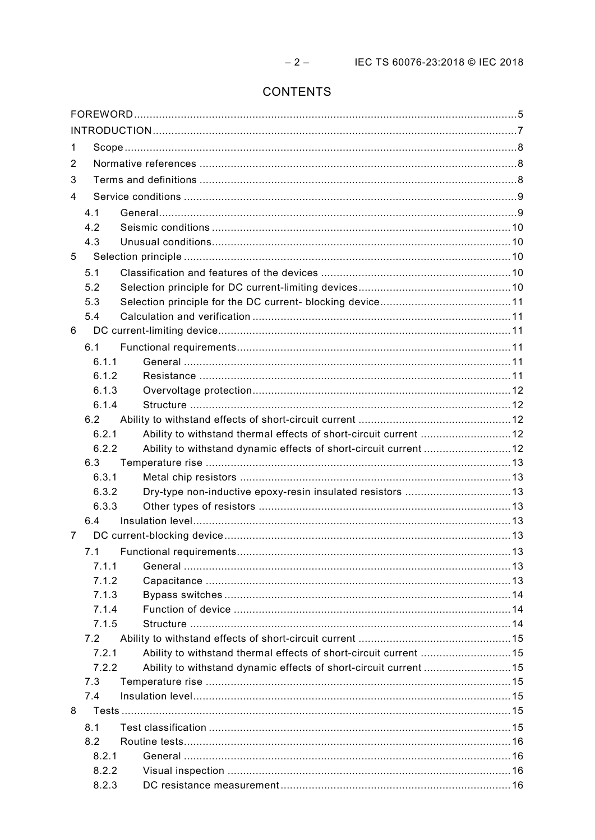## CONTENTS

| 1 |                |                                                                   |  |
|---|----------------|-------------------------------------------------------------------|--|
| 2 |                |                                                                   |  |
| 3 |                |                                                                   |  |
| 4 |                |                                                                   |  |
|   | 4.1            |                                                                   |  |
|   | 4.2            |                                                                   |  |
|   | 4.3            |                                                                   |  |
| 5 |                |                                                                   |  |
|   | 5.1            |                                                                   |  |
|   | 5.2            |                                                                   |  |
|   |                |                                                                   |  |
|   | 5.3<br>5.4     |                                                                   |  |
| 6 |                |                                                                   |  |
|   |                |                                                                   |  |
|   | 6.1            |                                                                   |  |
|   | 6.1.1          |                                                                   |  |
|   | 6.1.2          |                                                                   |  |
|   | 6.1.3          |                                                                   |  |
|   | 6.1.4          |                                                                   |  |
|   | 6.2            |                                                                   |  |
|   | 6.2.1          | Ability to withstand thermal effects of short-circuit current  12 |  |
|   | 6.2.2          | Ability to withstand dynamic effects of short-circuit current  12 |  |
|   | 6.3<br>6.3.1   |                                                                   |  |
|   | 6.3.2          |                                                                   |  |
|   | 6.3.3          |                                                                   |  |
|   | 6.4            |                                                                   |  |
| 7 |                |                                                                   |  |
|   |                |                                                                   |  |
|   | 7.1<br>7.1.1   |                                                                   |  |
|   | 7.1.2          |                                                                   |  |
|   |                |                                                                   |  |
|   | 7.1.3<br>7.1.4 |                                                                   |  |
|   | 7.1.5          |                                                                   |  |
|   | 7.2            |                                                                   |  |
|   | 7.2.1          | Ability to withstand thermal effects of short-circuit current  15 |  |
|   | 7.2.2          | Ability to withstand dynamic effects of short-circuit current  15 |  |
|   | 7.3            |                                                                   |  |
|   | 7.4            |                                                                   |  |
| 8 |                |                                                                   |  |
|   |                |                                                                   |  |
|   | 8.1            |                                                                   |  |
|   | 8.2            |                                                                   |  |
|   | 8.2.1          |                                                                   |  |
|   | 8.2.2          |                                                                   |  |
|   | 8.2.3          |                                                                   |  |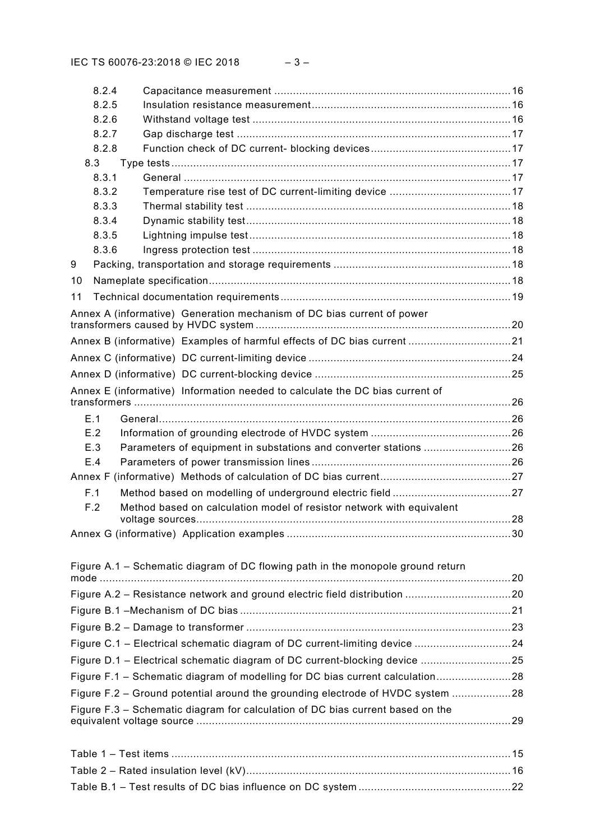|      | 8.2.4                 |                                                                                 |    |
|------|-----------------------|---------------------------------------------------------------------------------|----|
|      | 8.2.5                 |                                                                                 |    |
|      | 8.2.6                 |                                                                                 |    |
|      | 8.2.7                 |                                                                                 |    |
|      | 8.2.8                 |                                                                                 |    |
|      | 8.3                   |                                                                                 |    |
|      | 8.3.1                 |                                                                                 |    |
|      | 8.3.2                 |                                                                                 |    |
|      | 8.3.3                 |                                                                                 |    |
|      | 8.3.4                 |                                                                                 |    |
|      | 8.3.5                 |                                                                                 |    |
|      | 8.3.6                 |                                                                                 |    |
| 9    |                       |                                                                                 |    |
| 10   |                       |                                                                                 |    |
| 11   |                       |                                                                                 |    |
|      |                       | Annex A (informative) Generation mechanism of DC bias current of power          |    |
|      |                       | Annex B (informative) Examples of harmful effects of DC bias current 21         |    |
|      |                       |                                                                                 |    |
|      |                       |                                                                                 |    |
|      |                       | Annex E (informative) Information needed to calculate the DC bias current of    |    |
|      |                       |                                                                                 |    |
|      | E.1<br>F <sub>2</sub> |                                                                                 |    |
|      |                       |                                                                                 |    |
|      | E.3<br>E.4            | Parameters of equipment in substations and converter stations 26                |    |
|      |                       |                                                                                 |    |
|      | F.1                   |                                                                                 |    |
|      | F.2                   | Method based on calculation model of resistor network with equivalent           |    |
|      |                       |                                                                                 |    |
|      |                       |                                                                                 |    |
| m∩de |                       | Figure A.1 - Schematic diagram of DC flowing path in the monopole ground return | 20 |

| Figure C.1 – Electrical schematic diagram of DC current-limiting device 24     |  |  |
|--------------------------------------------------------------------------------|--|--|
| Figure D.1 – Electrical schematic diagram of DC current-blocking device 25     |  |  |
| Figure F.1 - Schematic diagram of modelling for DC bias current calculation28  |  |  |
| Figure F.2 – Ground potential around the grounding electrode of HVDC system 28 |  |  |
| Figure F.3 – Schematic diagram for calculation of DC bias current based on the |  |  |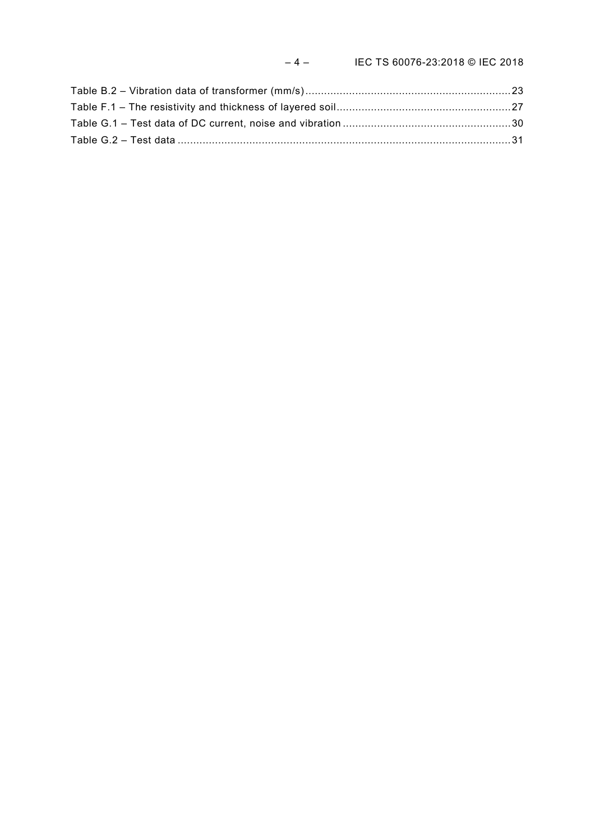## – 4 – IEC TS 60076-23:2018 © IEC 2018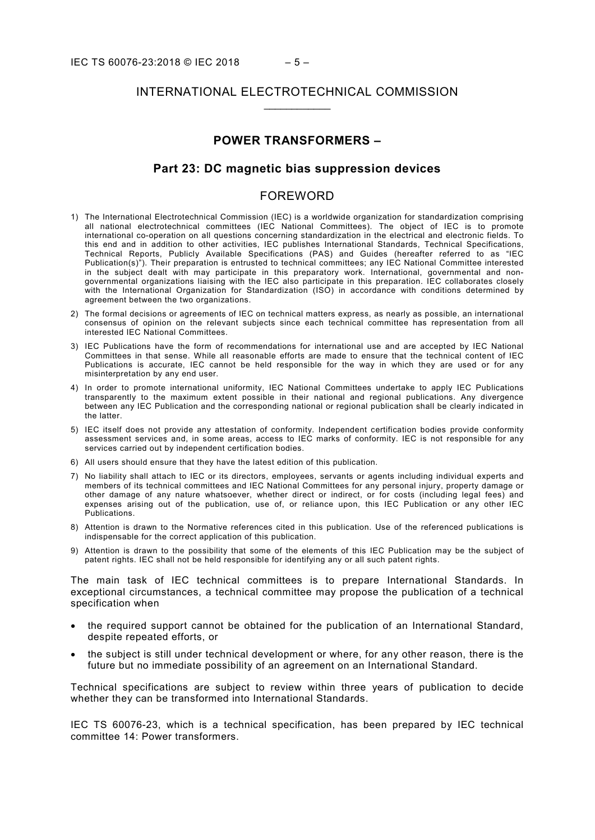#### INTERNATIONAL ELECTROTECHNICAL COMMISSION \_\_\_\_\_\_\_\_\_\_\_\_

#### **POWER TRANSFORMERS –**

#### **Part 23: DC magnetic bias suppression devices**

#### FOREWORD

- <span id="page-4-0"></span>1) The International Electrotechnical Commission (IEC) is a worldwide organization for standardization comprising all national electrotechnical committees (IEC National Committees). The object of IEC is to promote international co-operation on all questions concerning standardization in the electrical and electronic fields. To this end and in addition to other activities, IEC publishes International Standards, Technical Specifications, Technical Reports, Publicly Available Specifications (PAS) and Guides (hereafter referred to as "IEC Publication(s)"). Their preparation is entrusted to technical committees; any IEC National Committee interested in the subject dealt with may participate in this preparatory work. International, governmental and nongovernmental organizations liaising with the IEC also participate in this preparation. IEC collaborates closely with the International Organization for Standardization (ISO) in accordance with conditions determined by agreement between the two organizations.
- 2) The formal decisions or agreements of IEC on technical matters express, as nearly as possible, an international consensus of opinion on the relevant subjects since each technical committee has representation from all interested IEC National Committees.
- 3) IEC Publications have the form of recommendations for international use and are accepted by IEC National Committees in that sense. While all reasonable efforts are made to ensure that the technical content of IEC Publications is accurate, IEC cannot be held responsible for the way in which they are used or for any misinterpretation by any end user.
- 4) In order to promote international uniformity, IEC National Committees undertake to apply IEC Publications transparently to the maximum extent possible in their national and regional publications. Any divergence between any IEC Publication and the corresponding national or regional publication shall be clearly indicated in the latter.
- 5) IEC itself does not provide any attestation of conformity. Independent certification bodies provide conformity assessment services and, in some areas, access to IEC marks of conformity. IEC is not responsible for any services carried out by independent certification bodies.
- 6) All users should ensure that they have the latest edition of this publication.
- 7) No liability shall attach to IEC or its directors, employees, servants or agents including individual experts and members of its technical committees and IEC National Committees for any personal injury, property damage or other damage of any nature whatsoever, whether direct or indirect, or for costs (including legal fees) and expenses arising out of the publication, use of, or reliance upon, this IEC Publication or any other IEC Publications.
- 8) Attention is drawn to the Normative references cited in this publication. Use of the referenced publications is indispensable for the correct application of this publication.
- 9) Attention is drawn to the possibility that some of the elements of this IEC Publication may be the subject of patent rights. IEC shall not be held responsible for identifying any or all such patent rights.

The main task of IEC technical committees is to prepare International Standards. In exceptional circumstances, a technical committee may propose the publication of a technical specification when

- the required support cannot be obtained for the publication of an International Standard, despite repeated efforts, or
- the subject is still under technical development or where, for any other reason, there is the future but no immediate possibility of an agreement on an International Standard.

Technical specifications are subject to review within three years of publication to decide whether they can be transformed into International Standards.

IEC TS 60076-23, which is a technical specification, has been prepared by IEC technical committee 14: Power transformers.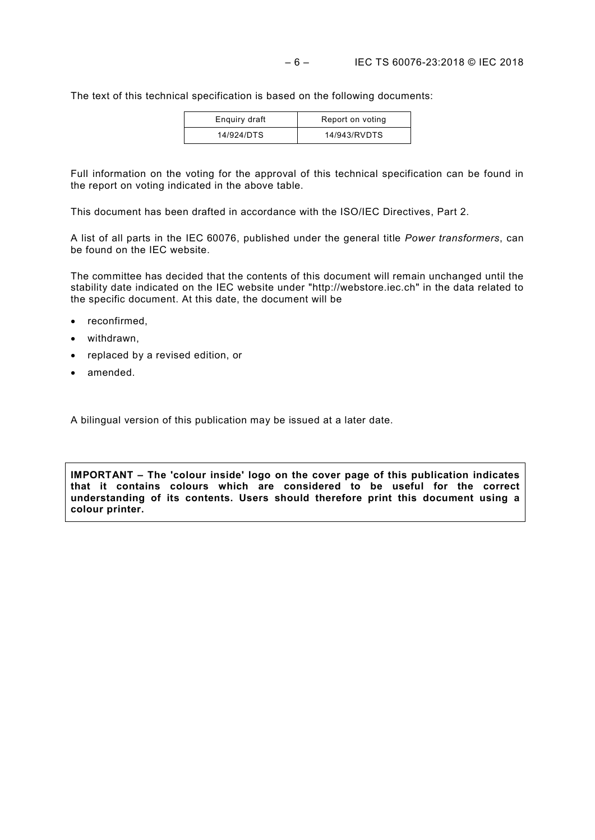The text of this technical specification is based on the following documents:

| Enquiry draft | Report on voting |
|---------------|------------------|
| 14/924/DTS    | 14/943/RVDTS     |

Full information on the voting for the approval of this technical specification can be found in the report on voting indicated in the above table.

This document has been drafted in accordance with the ISO/IEC Directives, Part 2.

A list of all parts in the IEC 60076, published under the general title *Power transformers*, can be found on the IEC website.

The committee has decided that the contents of this document will remain unchanged until the stability date indicated on the IEC website under ["http://webstore.iec.ch"](http://webstore.iec.ch/) in the data related to the specific document. At this date, the document will be

- reconfirmed,
- withdrawn,
- replaced by a revised edition, or
- amended.

A bilingual version of this publication may be issued at a later date.

**IMPORTANT – The 'colour inside' logo on the cover page of this publication indicates that it contains colours which are considered to be useful for the correct understanding of its contents. Users should therefore print this document using a colour printer.**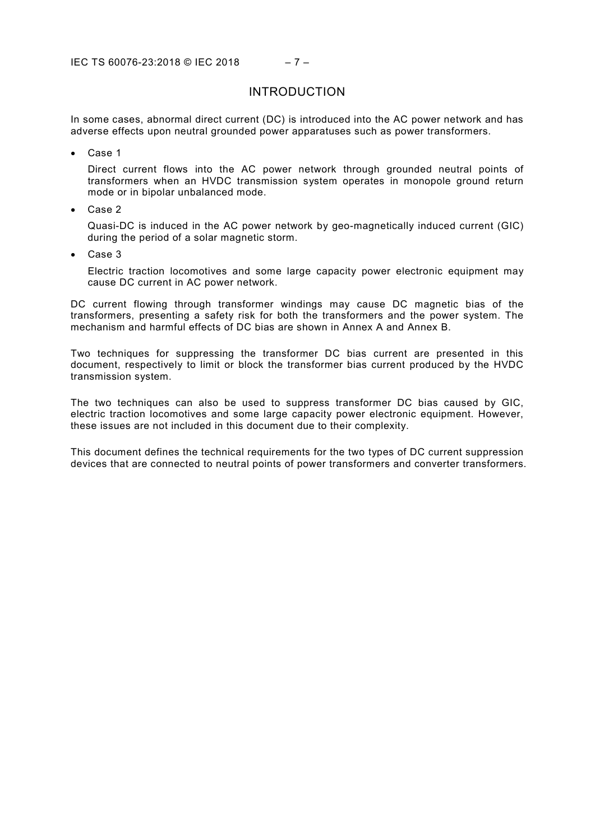#### INTRODUCTION

<span id="page-6-0"></span>In some cases, abnormal direct current (DC) is introduced into the AC power network and has adverse effects upon neutral grounded power apparatuses such as power transformers.

• Case 1

Direct current flows into the AC power network through grounded neutral points of transformers when an HVDC transmission system operates in monopole ground return mode or in bipolar unbalanced mode.

• Case 2

Quasi-DC is induced in the AC power network by geo-magnetically induced current (GIC) during the period of a solar magnetic storm.

• Case 3

Electric traction locomotives and some large capacity power electronic equipment may cause DC current in AC power network.

DC current flowing through transformer windings may cause DC magnetic bias of the transformers, presenting a safety risk for both the transformers and the power system. The mechanism and harmful effects of DC bias are shown in Annex A and Annex B.

Two techniques for suppressing the transformer DC bias current are presented in this document, respectively to limit or block the transformer bias current produced by the HVDC transmission system.

The two techniques can also be used to suppress transformer DC bias caused by GIC, electric traction locomotives and some large capacity power electronic equipment. However, these issues are not included in this document due to their complexity.

This document defines the technical requirements for the two types of DC current suppression devices that are connected to neutral points of power transformers and converter transformers.